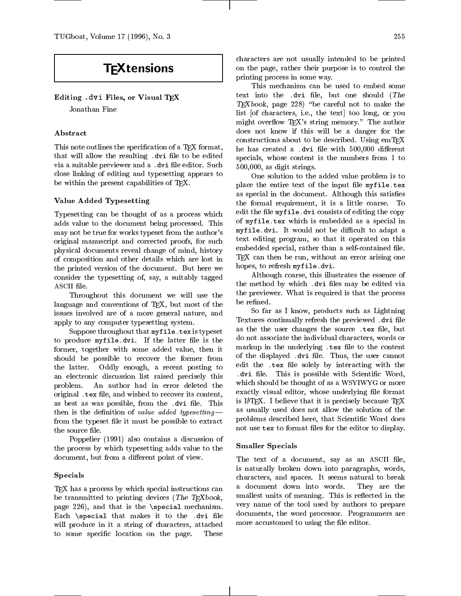# **TFXtensions**

# Editing .dvi Files, or Visual TEX

Jonathan Fine

# Abstract

This note outlines the specification of a T<sub>E</sub>X format, that will allow the resulting . dvi file to be edited via a suitable previewer and a .dvi file editor. Such close linking of editing and typesetting appears to be within the present capabilities of TFX.

# Value Added Typesetting

Typesetting can be thought of as a process which adds value to the document being processed. This may not be true for works typeset from the author's original manuscript and corrected proofs, for such physical documents reveal change of mind, history of composition and other details which are lost in the printed version of the document. But here we consider the typesetting of, say, a suitably tagged ASCII file.

Throughout this document we will use the language and conventions of TEX, but most of the issues involved are of a more general nature, and apply to any computer typesetting system.

Suppose throughout that myfile. tex is typeset to produce myfile.dvi. If the latter file is the former, together with some added value, then it should be possible to recover the former from the latter. Oddly enough, a recent posting to an electronic discussion list raised precisely this problem. An author had in error deleted the original . tex file, and wished to recover its content, as best as was possible, from the .dvi file. This then is the definition of value added typesetting  $$ from the typeset file it must be possible to extract the source file.

Poppelier (1991) also contains a discussion of the process by which typesetting adds value to the document, but from a different point of view.

# Specials

T<sub>E</sub>X has a process by which special instructions can be transmitted to printing devices (The TEXbook, page 226), and that is the \special mechanism. Each  $\setminus$  special that makes it to the .dvi file will produce in it a string of characters, attached to some specific location on the page. These

characters are not usually intended to be printed on the page, rather their purpose is to control the printing process in some way.

This mechanism can be used to embed some text into the .dvi file, but one should  $(The$  $T_{F}Xbook$ , page 228) "be careful not to make the list [of characters, i.e., the text] too long, or you might overflow T<sub>F</sub>X's string memory." The author does not know if this will be a danger for the constructions about to be described. Using  $emTFX$ he has created a .dvi file with 500,000 different specials, whose content is the numbers from 1 to 500,000, as digit strings.

One solution to the added value problem is to place the entire text of the input file myfile.tex as special in the document. Although this satisfies the formal requirement, it is a little coarse. To edit the file myfile.dvi consists of editing the copy of myfile.tex which is embedded as a special in myfile.dvi. It would not be difficult to adapt a text editing program, so that it operated on this embedded special, rather than a self-contained file. TEX can then be run, without an error arising one hopes, to refresh myfile.dvi.

Although coarse, this illustrates the essence of the method by which .dvi files may be edited via the previewer. What is required is that the process be refined.

So far as I know, products such as Lightning Textures continually refresh the previewed .dvi file as the the user changes the source . tex file, but do not associate the individual characters, words or markup in the underlying . tex file to the content of the displayed .dvi file. Thus, the user cannot edit the .tex file solely by interacting with the . dvi de let. This is possible with scientific with Scientific Contracts in the state of the scientific contracts of which should be thought of as a WSYIWYG or more exactly visual editor, whose underlying file format is LAT<sub>F</sub>X. I believe that it is precisely because  $TFX$ as usually used does not allow the solution of the problems described here, that Scientic Word does not use tex to format files for the editor to display.

# Smaller Specials

The text of a document, say as an ASCII file, is naturally broken down into paragraphs, words, characters, and spaces. It seems natural to break a document down into words. They are the smallest units of meaning. This is reflected in the very name of the tool used by authors to prepare documents, the word processor. Programmers are more accustomed to using the file editor.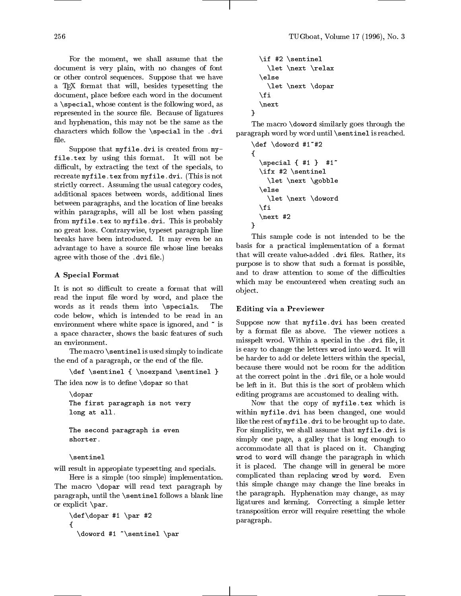a \special, whose content is the following word, as represented in the source file. Because of ligatures and hyphenation, this may not be the same as the characters which follow the \special in the .dvi file.

Suppose that  $myfile.dvi$  is created from  $my$ files. This by using this format. It will not be difficult, by extracting the text of the specials, to recreate myfile.tex from myfile.dvi. (This is not strictly correct. Assuming the usual category codes, additional spaces between words, additional lines between paragraphs, and the location of line breaks within paragraphs, will all be lost when passing from myfile.tex to myfile.dvi. This is probably no great loss. Contrarywise, typeset paragraph line breaks have been introduced. It may even be an advantage to have a source file whose line breaks agree with those of the .dvi file.)

# A Special Format

It is not so difficult to create a format that will It is not so dicult to create a format that will read the input file word by word, and place the words as it reads them into \specials. The code below, which is intended to be read in an environment where white space is ignored, and  $\tilde{ }$  is a space character, shows the basic features of such an environment.

The macro \sentinel is used simply to indicate the end of a paragraph, or the end of the file.

 $\overline{\phantom{a}}$  , and  $\overline{\phantom{a}}$  are  $\overline{\phantom{a}}$  , and  $\overline{\phantom{a}}$  , and  $\overline{\phantom{a}}$  , and  $\overline{\phantom{a}}$  , and  $\overline{\phantom{a}}$  , and  $\overline{\phantom{a}}$  , and  $\overline{\phantom{a}}$  , and  $\overline{\phantom{a}}$  , and  $\overline{\phantom{a}}$  , and  $\overline{\phantom{a}}$  , and  $\overline{\phantom$ 

The idea now is to define  $\qquad$  dopar so that

```
\doparThe first paragraph is not very
long at all.
The second paragraph is even
shorter.
```
\sentinel

will result in appropiate typesetting and specials.

Here is a simple (too simple) implementation. The macro \dopar will read text paragraph by paragraph, until the \sentinel follows a blank line or explicit \par.

```
\ddot{\phantom{a}} , and \ddot{\phantom{a}} are \ddot{\phantom{a}} . The \ddot{\phantom{a}} and \ddot{\phantom{a}} are \ddot{\phantom{a}} and \ddot{\phantom{a}} are \ddot{\phantom{a}} and \ddot{\phantom{a}} are \ddot{\phantom{a}} and \ddot{\phantom{a}} are \ddot{\phantom{a}} and \ddot{\phantom{a}} are \ddot{\phantom{a{\doword #1 ~\sentinel \par
```

```
\ldots \ldots \ldots \ldots \ldots \ldots\let \next \relax
\else\let \next \dopar
\fi\next
```
The macro \doword similarly goes through the paragraph word by word until \sentinel is reached.

```
\ddotsc \ddotsc \ddotsc \ddotsc \ddotsc \ddotsc.
         \special { #1 } #1~
         \lambda \rightarrow \lambda \rightarrow \lambda \rightarrow \lambda \rightarrow \lambda \rightarrow \lambda \rightarrow \lambda \rightarrow \lambda \rightarrow \lambda \rightarrow \lambda \rightarrow \lambda \rightarrow \lambda \rightarrow \lambda \rightarrow \lambda \rightarrow \lambda \rightarrow \lambda \rightarrow \lambda \rightarrow \lambda \rightarrow \lambda \rightarrow \lambda \rightarrow \lambda \rightarrow \lambda \rightarrow \lambda . The set of \lambda , and \lambda is the set of \lambda\else\lambda = \lambda . The set of \lambda and \lambda is the set of \lambda\fi\next #2
}
```
This sample code is not intended to be the basis for a practical implementation of a format that will create value-added .dvi files. Rather, its purpose is to show that such a format is possible, and to draw attention to some of the difficulties which may be encountered when creating such an ob ject.

# Editing via a Previewer

Suppose now that myfile.dvi has been created by a format file as above. The viewer notices a misspelt wrod. Within a special in the .dvi file, it is easy to change the letters wrod into word. It will be harder to add or delete letters within the special, because there would not be room for the addition at the correct point in the .dvi file, or a hole would be left in it. But this is the sort of problem which editing programs are accustomed to dealing with.

Now that the copy of myfile.tex which is within myfile.dvi has been changed, one would like the rest of myfile.dvi to be brought up to date. For simplicity, we shall assume that myfile.dvi is simply one page, a galley that is long enough to accommodate all that is placed on it. Changing  $\mathbf{w} = \mathbf{v}$  will change the paragraph in  $\mathbf{w}$ it is placed. The change will in general be more complicated than replacing wrod by word. Even this simple change may change the line breaks in the paragraph. Hyphenation may change, as may ligatures and kerning. Correcting a simple letter transposition error will require resetting the whole paragraph.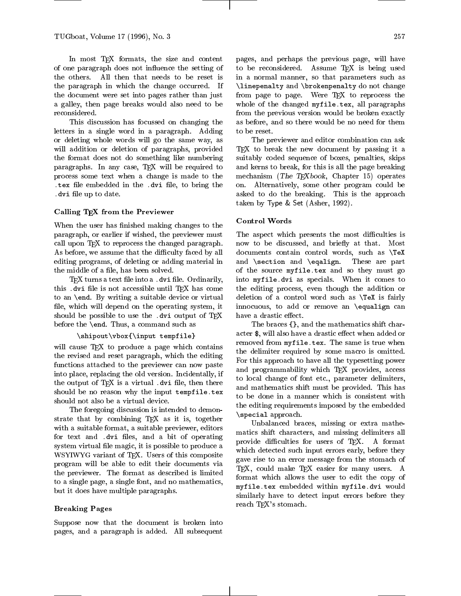In most TFX formats, the size and content of one paragraph does not in
uence the setting of the others. All then that needs to be reset is the paragraph in which the change occurred. If the document were set into pages rather than just a galley, then page breaks would also need to be reconsidered.

This discussion has focussed on changing the letters in a single word in a paragraph. Adding or deleting whole words will go the same way, as will addition or deletion of paragraphs, provided the format does not do something like numbering paragraphs. In any case, TEX will be required to process some text when a change is made to the .tex and the the second intervalse in the .dvi .dvi .dvi .dvi le up to date.

#### Calling TEX from the Previewer

When the user has finished making changes to the paragraph, or earlier if wished, the previewer must call upon TEX to reprocess the changed paragraph. As before, we assume that the difficulty faced by all editing programs, of deleting or adding material in the middle of a file, has been solved.

 $T$ FX turns a text file into a .dvi file. Ordinarily, this .dvi file is not accessible until TEX has come to an \end. By writing a suitable device or virtual file, which will depend on the operating system, it should be possible to use the .dvi output of TFX before the \end. Thus, a command such as

```
\shipout\vbox{\input tempfile}
```
will cause TEX to produce a page which contains the revised and reset paragraph, which the editing functions attached to the previewer can now paste into place, replacing the old version. Incidentally, if the output of  $T_{\text{F}}X$  is a virtual . dvi file, then there should be no reason why the input tempfile.tex should not also be a virtual device.

The foregoing discussion is intended to demonstrate that by combining T<sub>E</sub>X as it is, together with a suitable format, a suitable previewer, editors for text and .dvi files, and a bit of operating system virtual file magic, it is possible to produce a WSYIWYG variant of TEX. Users of this composite program will be able to edit their documents via the previewer. The format as described is limited to a single page, a single font, and no mathematics, but it does have multiple paragraphs.

# Breaking Pages

Suppose now that the document is broken into pages, and a paragraph is added. All subsequent pages, and perhaps the previous page, will have to be reconsidered. Assume TEX is being used in a normal manner, so that parameters such as  $\lambda$  and  $\lambda$  and  $\lambda$  and  $\lambda$  are changed and changed and change and changed and changed and changed and changed and changed and changed and changed and changed and changed and changed and changed and changed and change from page to page. Were TEX to reprocess the whole of the changed myfile.tex, all paragraphs from the previous version would be broken exactly as before, and so there would be no need for them to be reset.

The previewer and editor combination can ask TEX to break the new document by passing it a suitably coded sequence of boxes, penalties, skips and kerns to break, for this is all the page breaking mechanism (The TEXbook, Chapter 15) operates on. Alternatively, some other program could be asked to do the breaking. This is the approach taken by Type & Set (Asher, 1992).

The aspect which presents the most difficulties is now to be discussed, and briefly at that. Most documents contain control words, such as \TeX and \section and \eqalign. These are part of the source myfile.tex and so they must go into myfile.dvi as specials. When it comes to the editing process, even though the addition or deletion of a control word such as \TeX is fairly innocuous, to add or remove an \equalign can have a drastic effect.

The braces {}, and the mathematics shift character \$, will also have a drastic effect when added or removed from myfile.tex. The same is true when the delimiter required by some macro is omitted. For this approach to have all the typesetting power and programmability which TEX provides, access to local change of font etc., parameter delimiters, and mathematics shift must be provided. This has to be done in a manner which isconsistent with the editing requirements imposed by the embedded  $\lambda = p$  and approach.

Unbalanced braces, missing or extra mathematics shift characters, and missing delimiters all provide difficulties for users of TEX. A format which detected such input errors early, before they gave rise to an error message from the stomach of TEX, could make TEX easier for many users. A format which allows the user to edit the copy of myfile.tex embedded with myfile.text with myfile. similarly have to detect input errors before they reach TEX's stomach.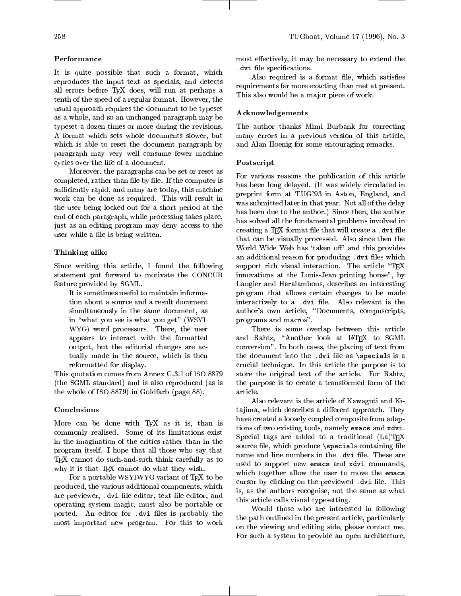# Performance

It is quite possible that such a format, which reproduces the input text as specials, and detects all errors before TEX does, will run at perhaps a tenth of the speed of a regular format. However, the usual approach requires the document to be typeset as a whole, and so an unchanged paragraph may be typeset a dozen times or more during the revisions. A format which sets whole documents slower, but which is able to reset the document paragraph by paragraph may very well consume fewer machine cycles over the life of a document.

Moreover, the paragraphs can be set or reset as completed, rather than file by file. If the computer is sufficiently rapid, and many are today, this machine work can be done as required. This will result in the user being locked out for a short period at the end of each paragraph, while processing takes place, just as an editing program may deny access to the user while a file is being written.

# Thinking alike

Since writing this article, I found the following statement put forward to motivate the CONCUR feature provided by SGML.

It is sometimes useful to maintain information about a source and a result document simultaneously in the same document, as in "what you see is what you get" (WSYI-WYG) word processors. There, the user appears to interact with the formatted output, but the editorial changes are actually made in the source, which is then reformatted for display.

This quotation comes from Annex C.3.1 of ISO 8879 (the SGML standard) and is also reproduced (as is the whole of ISO 8879) in Goldfarb (page 88).

## Conclusions

More can be done with TEX as it is, than is commonly realised. Some of its limitations exist in the imagination of the critics rather than in the program itself. I hope that all those who say that TEX cannot do such-and-such think carefully as to why it is that TEX cannot do what they wish.

For a portable WSYIWYG variant of TEX to be produced, the various additional components, which are previewer, .dvi file editor, text file editor, and operating system magic, must also be portable or ported. An editor for .dvi files is probably the most important new program. For this to work

most effectively, it may be necessary to extend the  $\ldots$  . In the special control is  $\ldots$ 

Also required is a format file, which satisfies requirements far more exacting than met at present. This also would be a major piece of work.

# Acknowledgements

The author thanks Mimi Burbank for correcting many errors in a previous version of this article, and Alan Hoenig for some encouraging remarks.

#### Postscript

For various reasons the publication of this article has been long delayed. (It was widely circulated in preprint form at TUG'93 in Aston, England, and was submitted later in that year. Not all of the delay has been due to the author.) Since then, the author has solved all the fundamental problems involved in creating a T<sub>F</sub>X format file that will create a .dvi file that can be visually processed. Also since then the World Wide Web has 'taken off' and this provides an additional reason for producing .dvi files which support rich visual interaction. The article "T<sub>E</sub>X innovations at the Louis-Jean printing house", by Laugier and Haralambous, describes an interesting program that allows certain changes to be made interactively to a .dvi file. Also relevant is the author's own article, "Documents, compuscripts, programs and macros".

There is some overlap between this article and Rahtz, "Another look at IATEX to SGML conversion". In both cases, the placing of text from the document into the .dvi file as  $\simeq$  specials is a crucial technique. In this article the purpose is to store the original text of the article. For Rahtz, the purpose is to create a transformed form of the

Also relevant is the article of Kawaguti and Kitajima, which describes a different approach. They have created a loosely coupled composite from adaptions of two existing tools, namely emacs and xdvi. Special tags are added to a traditional  $(La)TFX$ source file, which produce  $\simeq$  specials containing file name and line numbers in the .dvi file. These are used to support new emacs and xdvi commands, which together allow the user to move the emacs cursor by clicking on the previewed .dvi file. This is, as the authors recognise, not the same as what this article calls visual typesetting.

Would those who are interested in following the path outlined in the present article, particularly on the viewing and editing side, please contact me. For such a system to provide an open architecture,